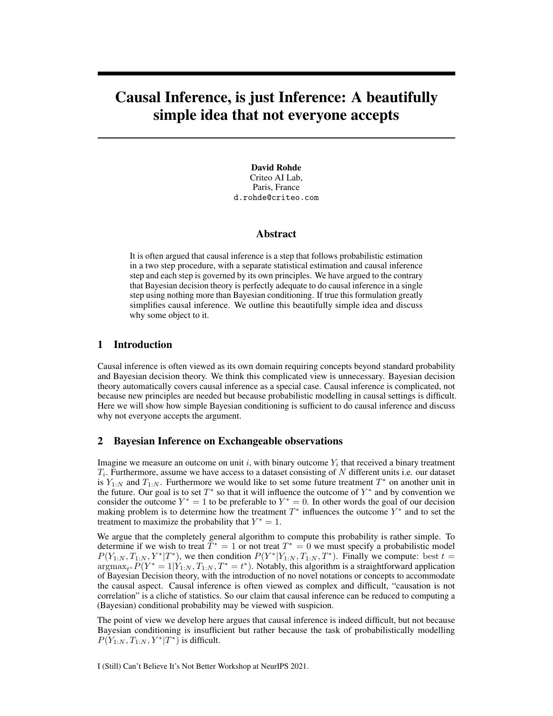# Causal Inference, is just Inference: A beautifully simple idea that not everyone accepts

David Rohde Criteo AI Lab, Paris, France d.rohde@criteo.com

### Abstract

It is often argued that causal inference is a step that follows probabilistic estimation in a two step procedure, with a separate statistical estimation and causal inference step and each step is governed by its own principles. We have argued to the contrary that Bayesian decision theory is perfectly adequate to do causal inference in a single step using nothing more than Bayesian conditioning. If true this formulation greatly simplifies causal inference. We outline this beautifully simple idea and discuss why some object to it.

## 1 Introduction

Causal inference is often viewed as its own domain requiring concepts beyond standard probability and Bayesian decision theory. We think this complicated view is unnecessary. Bayesian decision theory automatically covers causal inference as a special case. Causal inference is complicated, not because new principles are needed but because probabilistic modelling in causal settings is difficult. Here we will show how simple Bayesian conditioning is sufficient to do causal inference and discuss why not everyone accepts the argument.

### 2 Bayesian Inference on Exchangeable observations

Imagine we measure an outcome on unit i, with binary outcome  $Y_i$  that received a binary treatment  $T_i$ . Furthermore, assume we have access to a dataset consisting of N different units i.e. our dataset is  $Y_{1:N}$  and  $T_{1:N}$ . Furthermore we would like to set some future treatment  $T^*$  on another unit in the future. Our goal is to set  $T^*$  so that it will influence the outcome of  $Y^*$  and by convention we consider the outcome  $Y^* = 1$  to be preferable to  $Y^* = 0$ . In other words the goal of our decision making problem is to determine how the treatment  $T^*$  influences the outcome  $Y^*$  and to set the treatment to maximize the probability that  $Y^* = 1$ .

We argue that the completely general algorithm to compute this probability is rather simple. To determine if we wish to treat  $T^* = 1$  or not treat  $T^* = 0$  we must specify a probabilistic model  $P(Y_{1:N}, T_{1:N}, Y^* | T^*)$ , we then condition  $P(Y^* | Y_{1:N}, T_{1:N}, T^*)$ . Finally we compute: best  $t =$  $\argmax_{t^*} P(Y^* = 1 | Y_{1:N}, T_{1:N}, T^* = t^*)$ . Notably, this algorithm is a straightforward application of Bayesian Decision theory, with the introduction of no novel notations or concepts to accommodate the causal aspect. Causal inference is often viewed as complex and difficult, "causation is not correlation" is a cliche of statistics. So our claim that causal inference can be reduced to computing a (Bayesian) conditional probability may be viewed with suspicion.

The point of view we develop here argues that causal inference is indeed difficult, but not because Bayesian conditioning is insufficient but rather because the task of probabilistically modelling  $P(Y_{1:N}, T_{1:N}, Y^*|T^*)$  is difficult.

I (Still) Can't Believe It's Not Better Workshop at NeurIPS 2021.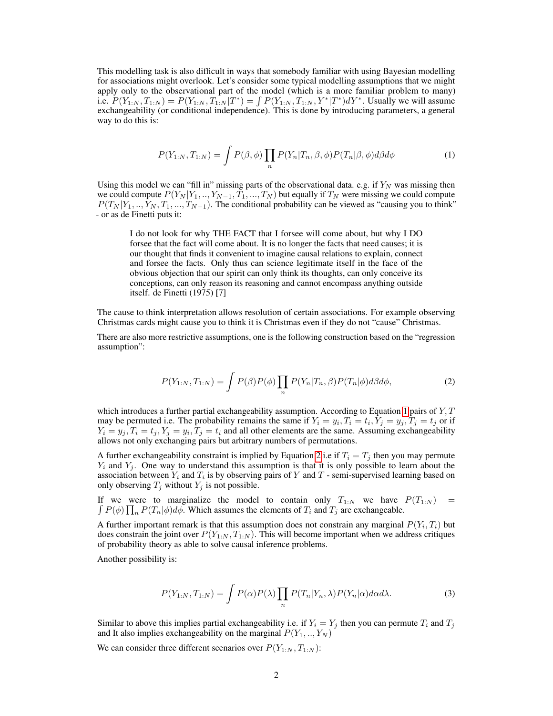This modelling task is also difficult in ways that somebody familiar with using Bayesian modelling for associations might overlook. Let's consider some typical modelling assumptions that we might apply only to the observational part of the model (which is a more familiar problem to many) i.e.  $P(Y_{1:N}, T_{1:N}) = P(Y_{1:N}, T_{1:N}|T^*) = \int P(Y_{1:N}, T_{1:N}, Y^*|T^*) dY^*$ . Usually we will assume exchangeability (or conditional independence). This is done by introducing parameters, a general way to do this is:

<span id="page-1-0"></span>
$$
P(Y_{1:N}, T_{1:N}) = \int P(\beta, \phi) \prod_{n} P(Y_n | T_n, \beta, \phi) P(T_n | \beta, \phi) d\beta d\phi \tag{1}
$$

Using this model we can "fill in" missing parts of the observational data. e.g. if  $Y_N$  was missing then we could compute  $P(Y_N | Y_1, \ldots, Y_{N-1}, T_1, \ldots, T_N)$  but equally if  $T_N$  were missing we could compute  $P(T_N | Y_1, \ldots, Y_N, T_1, \ldots, T_{N-1})$ . The conditional probability can be viewed as "causing you to think" - or as de Finetti puts it:

I do not look for why THE FACT that I forsee will come about, but why I DO forsee that the fact will come about. It is no longer the facts that need causes; it is our thought that finds it convenient to imagine causal relations to explain, connect and forsee the facts. Only thus can science legitimate itself in the face of the obvious objection that our spirit can only think its thoughts, can only conceive its conceptions, can only reason its reasoning and cannot encompass anything outside itself. de Finetti (1975) [7]

The cause to think interpretation allows resolution of certain associations. For example observing Christmas cards might cause you to think it is Christmas even if they do not "cause" Christmas.

There are also more restrictive assumptions, one is the following construction based on the "regression assumption":

<span id="page-1-1"></span>
$$
P(Y_{1:N}, T_{1:N}) = \int P(\beta)P(\phi) \prod_{n} P(Y_n | T_n, \beta)P(T_n | \phi) d\beta d\phi, \tag{2}
$$

which introduces a further partial exchangeability assumption. According to Equation [1](#page-1-0) pairs of  $Y, T$ may be permuted i.e. The probability remains the same if  $Y_i = y_i, T_i = t_i, Y_j = y_j, T_j = t_j$  or if  $Y_i = y_j, T_i = t_j, Y_j = y_i, T_j = t_i$  and all other elements are the same. Assuming exchangeability allows not only exchanging pairs but arbitrary numbers of permutations.

A further exchangeability constraint is implied by Equation [2](#page-1-1) i.e if  $T_i = T_j$  then you may permute  $Y_i$  and  $Y_j$ . One way to understand this assumption is that it is only possible to learn about the association between  $Y_i$  and  $T_i$  is by observing pairs of Y and T - semi-supervised learning based on only observing  $T_j$  without  $Y_j$  is not possible.

R If we were to marginalize the model to contain only  $T_{1:N}$  we have  $P(T_{1:N})$  =  $P(\phi) \prod_n P(T_n | \phi) d\phi$ . Which assumes the elements of  $T_i$  and  $T_j$  are exchangeable.

A further important remark is that this assumption does not constrain any marginal  $P(Y_i, T_i)$  but does constrain the joint over  $P(Y_{1:N}, T_{1:N})$ . This will become important when we address critiques of probability theory as able to solve causal inference problems.

Another possibility is:

$$
P(Y_{1:N}, T_{1:N}) = \int P(\alpha)P(\lambda) \prod_{n} P(T_n|Y_n, \lambda) P(Y_n|\alpha) d\alpha d\lambda.
$$
 (3)

Similar to above this implies partial exchangeability i.e. if  $Y_i = Y_j$  then you can permute  $T_i$  and  $T_j$ and It also implies exchangeability on the marginal  $P(Y_1, ..., Y_N)$ 

We can consider three different scenarios over  $P(Y_{1:N}, T_{1:N})$ :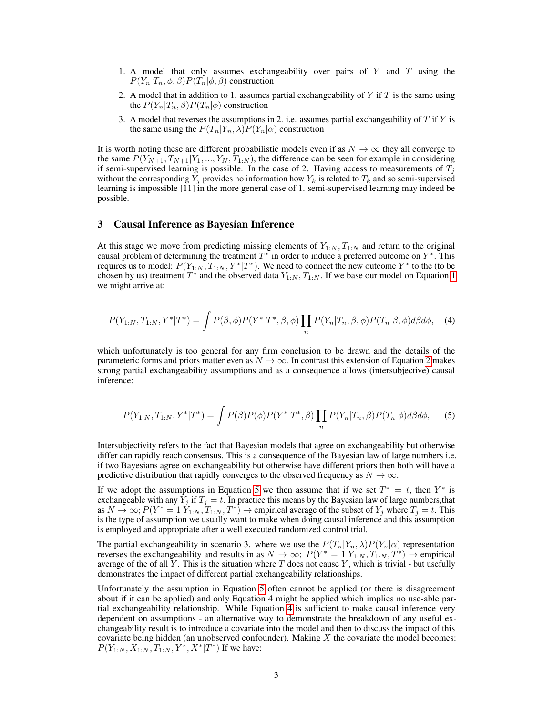- 1. A model that only assumes exchangeability over pairs of  $Y$  and  $T$  using the  $P(Y_n|T_n, \phi, \beta)P(T_n|\phi, \beta)$  construction
- 2. A model that in addition to 1. assumes partial exchangeability of Y if T is the same using the  $P(Y_n|T_n, \beta)P(T_n|\phi)$  construction
- 3. A model that reverses the assumptions in 2. i.e. assumes partial exchangeability of  $T$  if  $Y$  is the same using the  $P(T_n|Y_n,\lambda)P(Y_n|\alpha)$  construction

It is worth noting these are different probabilistic models even if as  $N \to \infty$  they all converge to the same  $P(Y_{N+1}, T_{N+1}|Y_1, ..., Y_N, T_{1:N})$ , the difference can be seen for example in considering if semi-supervised learning is possible. In the case of 2. Having access to measurements of  $T_i$ without the corresponding  $Y_j$  provides no information how  $Y_k$  is related to  $T_k$  and so semi-supervised learning is impossible [11] in the more general case of 1. semi-supervised learning may indeed be possible.

### 3 Causal Inference as Bayesian Inference

At this stage we move from predicting missing elements of  $Y_{1:N}$ ,  $T_{1:N}$  and return to the original causal problem of determining the treatment  $T^*$  in order to induce a preferred outcome on  $Y^*$ . This requires us to model:  $P(Y_{1:N}, T_{1:N}, Y^* | T^*)$ . We need to connect the new outcome  $Y^*$  to the (to be chosen by us) treatment  $T^*$  and the observed data  $Y_{1:N}, T_{1:N}$ . If we base our model on Equation [1](#page-1-0) we might arrive at:

$$
P(Y_{1:N}, T_{1:N}, Y^*|T^*) = \int P(\beta, \phi) P(Y^*|T^*, \beta, \phi) \prod_n P(Y_n|T_n, \beta, \phi) P(T_n|\beta, \phi) d\beta d\phi, \quad (4)
$$

which unfortunately is too general for any firm conclusion to be drawn and the details of the parameteric forms and priors matter even as  $N \to \infty$ . In contrast this extension of Equation [2](#page-1-1) makes strong partial exchangeability assumptions and as a consequence allows (intersubjective) causal inference:

<span id="page-2-1"></span><span id="page-2-0"></span>
$$
P(Y_{1:N}, T_{1:N}, Y^*|T^*) = \int P(\beta)P(\phi)P(Y^*|T^*, \beta) \prod_n P(Y_n|T_n, \beta)P(T_n|\phi)d\beta d\phi, \quad (5)
$$

Intersubjectivity refers to the fact that Bayesian models that agree on exchangeability but otherwise differ can rapidly reach consensus. This is a consequence of the Bayesian law of large numbers i.e. if two Bayesians agree on exchangeability but otherwise have different priors then both will have a predictive distribution that rapidly converges to the observed frequency as  $N \to \infty$ .

If we adopt the assumptions in Equation [5](#page-2-0) we then assume that if we set  $T^* = t$ , then  $Y^*$  is exchangeable with any  $Y_j$  if  $T_j = t$ . In practice this means by the Bayesian law of large numbers, that as  $N \to \infty$ ;  $P(Y^* = 1 | Y_{1:N}, T_{1:N}, T^*) \to$  empirical average of the subset of  $Y_j$  where  $T_j = t$ . This is the type of assumption we usually want to make when doing causal inference and this assumption is employed and appropriate after a well executed randomized control trial.

The partial exchangeability in scenario 3. where we use the  $P(T_n|Y_n, \lambda)P(Y_n|\alpha)$  representation reverses the exchangeability and results in as  $N \to \infty$ ;  $P(Y^* = 1 | Y_{1:N}, T_{1:N}, T^*) \to$  empirical average of the of all Y. This is the situation where T does not cause  $\overline{Y}$ , which is trivial - but usefully demonstrates the impact of different partial exchangeability relationships.

Unfortunately the assumption in Equation [5](#page-2-0) often cannot be applied (or there is disagreement about if it can be applied) and only Equation 4 might be applied which implies no use-able partial exchangeability relationship. While Equation [4](#page-2-1) is sufficient to make causal inference very dependent on assumptions - an alternative way to demonstrate the breakdown of any useful exchangeability result is to introduce a covariate into the model and then to discuss the impact of this covariate being hidden (an unobserved confounder). Making  $X$  the covariate the model becomes:  $P(Y_{1:N}, X_{1:N}, T_{1:N}, Y^*, X^* | T^*)$  If we have: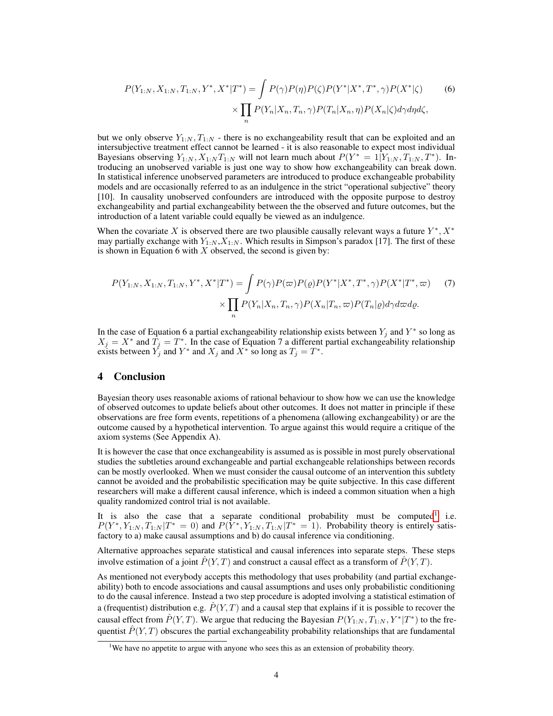$$
P(Y_{1:N}, X_{1:N}, T_{1:N}, Y^*, X^* | T^*) = \int P(\gamma) P(\eta) P(\zeta) P(Y^* | X^*, T^*, \gamma) P(X^* | \zeta)
$$
\n
$$
\times \prod_n P(Y_n | X_n, T_n, \gamma) P(T_n | X_n, \eta) P(X_n | \zeta) d\gamma d\eta d\zeta,
$$
\n(6)

but we only observe  $Y_{1:N}, T_{1:N}$  - there is no exchangeability result that can be exploited and an intersubjective treatment effect cannot be learned - it is also reasonable to expect most individual Bayesians observing  $Y_{1:N}$ ,  $X_{1:N}T_{1:N}$  will not learn much about  $P(Y^* = 1|Y_{1:N}, T_{1:N}, T^*)$ . Introducing an unobserved variable is just one way to show how exchangeability can break down. In statistical inference unobserved parameters are introduced to produce exchangeable probability models and are occasionally referred to as an indulgence in the strict "operational subjective" theory [10]. In causality unobserved confounders are introduced with the opposite purpose to destroy exchangeability and partial exchangeability between the the observed and future outcomes, but the introduction of a latent variable could equally be viewed as an indulgence.

When the covariate X is observed there are two plausible causally relevant ways a future  $Y^*$ ,  $X^*$ may partially exchange with  $Y_{1:N}$ ,  $X_{1:N}$ . Which results in Simpson's paradox [17]. The first of these is shown in Equation 6 with  $X$  observed, the second is given by:

$$
P(Y_{1:N}, X_{1:N}, T_{1:N}, Y^*, X^* | T^*) = \int P(\gamma) P(\varpi) P(\varrho) P(Y^* | X^*, T^*, \gamma) P(X^* | T^*, \varpi) \tag{7}
$$

$$
\times \prod_n P(Y_n | X_n, T_n, \gamma) P(X_n | T_n, \varpi) P(T_n | \varrho) d\gamma d\varpi d\varrho.
$$

In the case of Equation 6 a partial exchangeability relationship exists between  $Y_j$  and  $Y^*$  so long as  $X_j = X^*$  and  $\hat{T}_j = T^*$ . In the case of Equation 7 a different partial exchangeability relationship exists between  $Y_j$  and  $Y^*$  and  $X_j$  and  $X^*$  so long as  $T_j = T^*$ .

#### 4 Conclusion

Bayesian theory uses reasonable axioms of rational behaviour to show how we can use the knowledge of observed outcomes to update beliefs about other outcomes. It does not matter in principle if these observations are free form events, repetitions of a phenomena (allowing exchangeability) or are the outcome caused by a hypothetical intervention. To argue against this would require a critique of the axiom systems (See Appendix A).

It is however the case that once exchangeability is assumed as is possible in most purely observational studies the subtleties around exchangeable and partial exchangeable relationships between records can be mostly overlooked. When we must consider the causal outcome of an intervention this subtlety cannot be avoided and the probabilistic specification may be quite subjective. In this case different researchers will make a different causal inference, which is indeed a common situation when a high quality randomized control trial is not available.

It is also the case that a separate conditional probability must be computed<sup>[1](#page-3-0)</sup> i.e.  $P(Y^*, Y_{1:N}, T_{1:N} | T^* = 0)$  and  $P(Y^*, Y_{1:N}, T_{1:N} | T^* = 1)$ . Probability theory is entirely satisfactory to a) make causal assumptions and b) do causal inference via conditioning.

Alternative approaches separate statistical and causal inferences into separate steps. These steps involve estimation of a joint  $\hat{P}(Y,T)$  and construct a causal effect as a transform of  $\hat{P}(Y,T)$ .

As mentioned not everybody accepts this methodology that uses probability (and partial exchangeability) both to encode associations and causal assumptions and uses only probabilistic conditioning to do the causal inference. Instead a two step procedure is adopted involving a statistical estimation of a (frequentist) distribution e.g.  $\tilde{P}(Y,T)$  and a causal step that explains if it is possible to recover the causal effect from  $\hat{P}(Y,T)$ . We argue that reducing the Bayesian  $P(Y_{1:N}, T_{1:N}, Y^*|T^*)$  to the frequentist  $\hat{P}(Y,T)$  obscures the partial exchangeability probability relationships that are fundamental

<span id="page-3-0"></span><sup>&</sup>lt;sup>1</sup>We have no appetite to argue with anyone who sees this as an extension of probability theory.